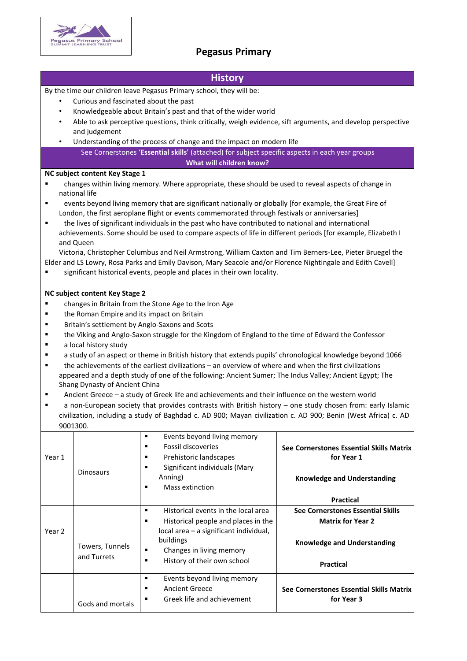

# **Pegasus Primary**

## **History**

By the time our children leave Pegasus Primary school, they will be:

- Curious and fascinated about the past
- Knowledgeable about Britain's past and that of the wider world
- Able to ask perceptive questions, think critically, weigh evidence, sift arguments, and develop perspective and judgement
- Understanding of the process of change and the impact on modern life See Cornerstones '**Essential skills**' (attached) for subject specific aspects in each year groups **What will children know?**

#### **NC subject content Key Stage 1**

- changes within living memory. Where appropriate, these should be used to reveal aspects of change in national life
- events beyond living memory that are significant nationally or globally [for example, the Great Fire of London, the first aeroplane flight or events commemorated through festivals or anniversaries]
- the lives of significant individuals in the past who have contributed to national and international achievements. Some should be used to compare aspects of life in different periods [for example, Elizabeth I and Queen

Victoria, Christopher Columbus and Neil Armstrong, William Caxton and Tim Berners-Lee, Pieter Bruegel the Elder and LS Lowry, Rosa Parks and Emily Davison, Mary Seacole and/or Florence Nightingale and Edith Cavell]

significant historical events, people and places in their own locality.

#### **NC subject content Key Stage 2**

- changes in Britain from the Stone Age to the Iron Age
- the Roman Empire and its impact on Britain
- **Britain's settlement by Anglo-Saxons and Scots**
- the Viking and Anglo-Saxon struggle for the Kingdom of England to the time of Edward the Confessor
- a local history study
- a study of an aspect or theme in British history that extends pupils' chronological knowledge beyond 1066
- the achievements of the earliest civilizations an overview of where and when the first civilizations appeared and a depth study of one of the following: Ancient Sumer; The Indus Valley; Ancient Egypt; The Shang Dynasty of Ancient China
- Ancient Greece a study of Greek life and achievements and their influence on the western world
- a non-European society that provides contrasts with British history one study chosen from: early Islamic civilization, including a study of Baghdad c. AD 900; Mayan civilization c. AD 900; Benin (West Africa) c. AD 9001300.

| Year 1 |                                | Events beyond living memory<br>٠<br><b>Fossil discoveries</b><br>٠<br>Prehistoric landscapes<br>٠                              | See Cornerstones Essential Skills Matrix<br>for Year 1        |
|--------|--------------------------------|--------------------------------------------------------------------------------------------------------------------------------|---------------------------------------------------------------|
|        | <b>Dinosaurs</b>               | Significant individuals (Mary<br>٠<br>Anning)<br>Mass extinction<br>٠                                                          | <b>Knowledge and Understanding</b>                            |
|        |                                |                                                                                                                                | <b>Practical</b>                                              |
| Year 2 |                                | Historical events in the local area<br>٠<br>Historical people and places in the<br>٠<br>local area – a significant individual, | See Cornerstones Essential Skills<br><b>Matrix for Year 2</b> |
|        | Towers, Tunnels<br>and Turrets | buildings<br>Changes in living memory<br>٠<br>History of their own school<br>٠                                                 | Knowledge and Understanding<br><b>Practical</b>               |
|        | Gods and mortals               | Events beyond living memory<br>٠<br><b>Ancient Greece</b><br>٠<br>Greek life and achievement<br>٠                              | See Cornerstones Essential Skills Matrix<br>for Year 3        |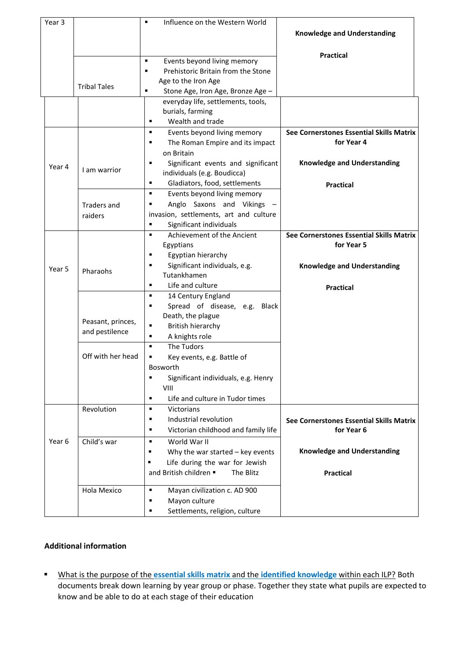| Year 3 |                     | Influence on the Western World                         |                                                        |
|--------|---------------------|--------------------------------------------------------|--------------------------------------------------------|
|        |                     |                                                        | <b>Knowledge and Understanding</b>                     |
|        |                     |                                                        |                                                        |
|        |                     |                                                        | <b>Practical</b>                                       |
|        |                     | Events beyond living memory<br>٠                       |                                                        |
|        |                     | Prehistoric Britain from the Stone<br>$\blacksquare$   |                                                        |
|        | <b>Tribal Tales</b> | Age to the Iron Age                                    |                                                        |
|        |                     | Stone Age, Iron Age, Bronze Age -                      |                                                        |
|        |                     | everyday life, settlements, tools,<br>burials, farming |                                                        |
|        |                     | Wealth and trade<br>п                                  |                                                        |
|        |                     | ٠                                                      | See Cornerstones Essential Skills Matrix               |
|        |                     | Events beyond living memory                            | for Year 4                                             |
|        |                     | The Roman Empire and its impact<br>п                   |                                                        |
|        |                     | on Britain                                             |                                                        |
| Year 4 | I am warrior        | Significant events and significant<br>٠                | <b>Knowledge and Understanding</b>                     |
|        |                     | individuals (e.g. Boudicca)<br>٠                       |                                                        |
|        |                     | Gladiators, food, settlements                          | Practical                                              |
|        |                     | Events beyond living memory<br>$\blacksquare$          |                                                        |
|        | Traders and         | Anglo Saxons and Vikings -<br>Е                        |                                                        |
|        | raiders             | invasion, settlements, art and culture                 |                                                        |
|        |                     | Significant individuals<br>٠                           |                                                        |
|        |                     | Achievement of the Ancient<br>٠                        | See Cornerstones Essential Skills Matrix               |
|        |                     | Egyptians                                              | for Year 5                                             |
|        |                     | Egyptian hierarchy<br>٠                                |                                                        |
| Year 5 | Pharaohs            | Significant individuals, e.g.<br>п                     | <b>Knowledge and Understanding</b>                     |
|        |                     | Tutankhamen                                            |                                                        |
|        |                     | Life and culture<br>٠                                  | Practical                                              |
|        |                     | 14 Century England<br>٠                                |                                                        |
|        |                     | Spread of disease, e.g. Black<br>٠                     |                                                        |
|        | Peasant, princes,   | Death, the plague<br>٠                                 |                                                        |
|        | and pestilence      | British hierarchy<br>٠                                 |                                                        |
|        |                     | A knights role<br>The Tudors<br>$\blacksquare$         |                                                        |
|        | Off with her head   | ٠                                                      |                                                        |
|        |                     | Key events, e.g. Battle of                             |                                                        |
|        |                     | Bosworth                                               |                                                        |
|        |                     | Significant individuals, e.g. Henry<br>٠               |                                                        |
|        |                     | VIII                                                   |                                                        |
|        |                     | Life and culture in Tudor times<br>п                   |                                                        |
|        | Revolution          | Victorians<br>٠<br>Industrial revolution<br>٠          |                                                        |
|        |                     | Victorian childhood and family life<br>٠               | See Cornerstones Essential Skills Matrix<br>for Year 6 |
|        |                     |                                                        |                                                        |
| Year 6 | Child's war         | World War II<br>$\blacksquare$                         |                                                        |
|        |                     | Why the war started $-$ key events<br>$\blacksquare$   | <b>Knowledge and Understanding</b>                     |
|        |                     | Life during the war for Jewish<br>٠                    |                                                        |
|        |                     | and British children .<br>The Blitz                    | <b>Practical</b>                                       |
|        | Hola Mexico         | Mayan civilization c. AD 900<br>п                      |                                                        |
|        |                     | Mayon culture<br>٠                                     |                                                        |
|        |                     | Settlements, religion, culture<br>Е                    |                                                        |
|        |                     |                                                        |                                                        |

### **Additional information**

 What is the purpose of the **essential skills matrix** and the **identified knowledge** within each ILP? Both documents break down learning by year group or phase. Together they state what pupils are expected to know and be able to do at each stage of their education